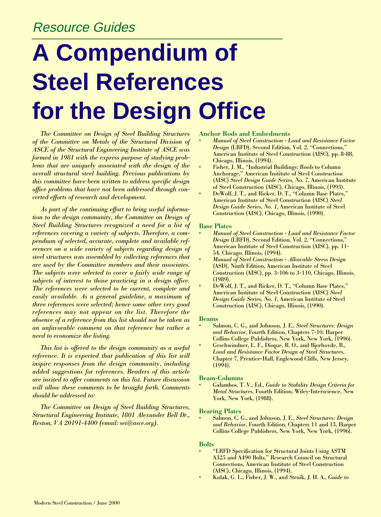# Resource Guides

# **A Compendium of Steel References for the Design Office**

*The Committee on Design of Steel Building Structures of the Committee on Metals of the Structural Division of ASCE of the Structural Engineering Institute of ASCE was formed in 1981 with the express purpose of studying problems that are uniquely associated with the design of the overall structural steel building. Previous publications by this committee have been written to address specific design office problems that have not been addressed through concerted efforts of research and development.* 

*As part of the continuing effort to bring useful information to the design community, the Committee on Design of Steel Building Structures recognized a need for a list of references covering a variety of subjects. Therefore, a compendium of selected, accurate, complete and available references on a wide variety of subjects regarding design of steel structures was assembled by collecting references that are used by the Committee members and their associates. The subjects were selected to cover a fairly wide range of subjects of interest to those practicing in a design office. The references were selected to be current, complete and easily available. As a general guideline, a maximum of three references were selected; hence some other very good references may not appear on the list. Therefore the absence of a reference from this list should not be taken as an unfavorable comment on that reference but rather a need to economize the listing.*

*This list is offered to the design community as a useful reference. It is expected that publication of this list will inspire responses from the design community, including added suggestions for references. Readers of this article are invited to offer comments on this list. Future discussion will allow these comments to be brought forth. Comments should be addressed to:* 

*The Committee on Design of Steel Building Structures, Structural Engineering Institute, 1801 Alexander Bell Dr., Reston, VA 20191-4400 (email: sei@asce.org).*

#### **Anchor Rods and Embedments**

- **•** *Manual of Steel Construction Load and Resistance Factor Design* (LRFD), Second Edition, Vol. 2, "Connections," American Institute of Steel Construction (AISC), pp. 8-88, Chicago, Illinois, (1994).
- **•** Fisher, J. M., "Industrial Buildings: Roofs to Column Anchorage," American Institute of Steel Construction (AISC) *Steel Design Guide Series, No. 7*, American Institute of Steel Construction (AISC), Chicago, Illinois, (1993).
- **•** DeWolf, J. T., and Ricker, D. T., "Column Base Plates," American Institute of Steel Construction (AISC) *Steel Design Guide Series, No. 1*, American Institute of Steel Construction (AISC), Chicago, Illinois, (1990).

#### **Base Plates**

- **•** *Manual of Steel Construction Load and Resistance Factor Design* (LRFD), Second Edition, Vol. 2, "Connections," American Institute of Steel Construction (AISC), pp. 11- 54, Chicago, Illinois, (1994).
- **•** *Manual of Steel Construction Allowable Stress Design* (ASD), Ninth Edition, American Institute of Steel Construction (AISC), pp. 3-106 to 3-110, Chicago, Illinois, (1989).
- **•** DeWolf, J. T., and Ricker, D. T., "Column Base Plates," American Institute of Steel Construction (AISC) *Steel Design Guide Series, No. 1*, American Institute of Steel Construction (AISC), Chicago, Illinois, (1990).

#### **Beams**

- **•** Salmon, C. G., and Johnson, J. E., *Steel Structures: Design and Behavior*, Fourth Edition, Chapters 7-10, Harper Collins College Publishers, New York, New York, (1996).
- **•** Geschwindner, L. F., Disque, R. O., and Bjorhovde, R., *Load and Resistance Factor Design of Steel Structures*, Chapter 7, Prentice-Hall, Englewood Cliffs, New Jersey,  $(1994)$ .

#### **Beam-Columns**

**•** Galambos, T. V., Ed., *Guide to Stability Design Criteria for Metal Structures*, Fourth Edition, Wiley-Interscience, New York, New York, (1988).

#### **Bearing Plates**

**•** Salmon, C. G., and Johnson, J. E., *Steel Structures: Design and Behavior*, Fourth Edition, Chapters 11 and 13, Harper Collins College Publishers, New York, New York, (1996).

#### **Bolts**

- **•** "LRFD Specification for Structural Joints Using ASTM A325 and A490 Bolts," Research Council on Structural Connections, American Institute of Steel Construction (AISC), Chicago, Illinois, (1994).
- **•** Kulak, G. L., Fisher, J. W., and Struik, J. H. A., *Guide to*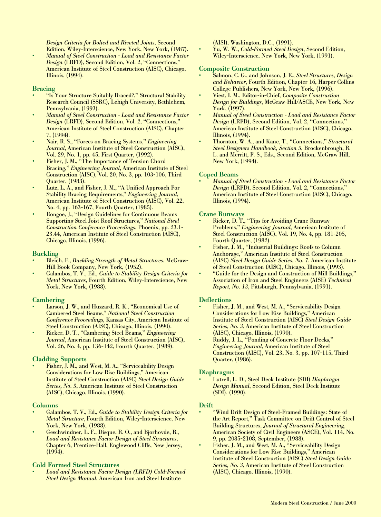*Design Criteria for Bolted and Riveted Joints*, Second Edition, Wiley-Interscience, New York, New York, (1987).

**•** *Manual of Steel Construction - Load and Resistance Factor Design* (LRFD), Second Edition, Vol. 2, "Connections," American Institute of Steel Construction (AISC), Chicago, Illinois, (1994).

# **Bracing**

- **•** "Is Your Structure Suitably Braced?," Structural Stability Research Council (SSRC), Lehigh University, Bethlehem, Pennsylvania, (1993).
- **•** *Manual of Steel Construction Load and Resistance Factor Design* (LRFD), Second Edition, Vol. 2, "Connections," American Institute of Steel Construction (AISC), Chapter 7, (1994).
- **•** Nair, R. S., "Forces on Bracing Systems," *Engineering Journal*, American Institute of Steel Construction (AISC), Vol. 29, No. 1, pp. 45, First Quarter, (1992).
- **•** Fisher, J. M., "The Importance of Tension Chord Bracing," *Engineering Journal*, American Institute of Steel Construction (AISC), Vol. 20, No. 3, pp. 103-106, Third Quarter, (1983).
- **•** Lutz, L. A., and Fisher, J. M., "A Unified Approach For Stability Bracing Requirements," *Engineering Journal*, American Institute of Steel Construction (AISC), Vol. 22, No. 4, pp. 163-167, Fourth Quarter, (1985).
- **•** Rongoe, J., "Design Guidelines for Continuous Beams Supporting Steel Joist Roof Structures," *National Steel Construction Conference Proceedings*, Phoenix, pp. 23.1- 23.44, American Institute of Steel Construction (AISC), Chicago, Illinois, (1996).

# **Buckling**

- **•** Bleich, F., *Buckling Strength of Metal Structures*, McGraw-Hill Book Company, New York, (1952).
- **•** Galambos, T. V., Ed., *Guide to Stability Design Criteria for Metal Structures*, Fourth Edition, Wiley-Interscience, New York, New York, (1988).

# **Cambering**

- Larson, J. W., and Huzzard, R. K., "Economical Use of Cambered Steel Beams," *National Steel Construction Conference Proceedings*, Kansas City, American Institute of Steel Construction (AISC), Chicago, Illinois, (1990).
- **•** Ricker, D. T., "Cambering Steel Beams," *Engineering Journal*, American Institute of Steel Construction (AISC), Vol. 26, No. 4, pp. 136-142, Fourth Quarter, (1989).

# **Cladding Supports**

**•** Fisher, J. M., and West, M. A., "Serviceability Design Considerations for Low Rise Buildings," American Institute of Steel Construction (AISC) *Steel Design Guide Series, No. 3*, American Institute of Steel Construction (AISC), Chicago, Illinois, (1990).

# **Columns**

- **•** Galambos, T. V., Ed., *Guide to Stability Design Criteria for Metal Structure*, Fourth Edition, Wiley-Interscience, New York, New York, (1988).
- **•** Geschwindner, L. F., Disque, R. O., and Bjorhovde, R., *Load and Resistance Factor Design of Steel Structures*, Chapter 6, Prentice-Hall, Englewood Cliffs, New Jersey,  $(1994)$ .

# **Cold Formed Steel Structures**

**•** *Load and Resistance Factor Design (LRFD) Cold-Formed Steel Design Manual*, American Iron and Steel Institute

(AISI), Washington, D.C., (1991).

**•** Yu, W. W., *Cold-Formed Steel Design*, Second Edition, Wiley-Interscience, New York, New York, (1991).

# **Composite Construction**

- **•** Salmon, C. G., and Johnson, J. E., *Steel Structures, Design and Behavior*, Fourth Edition, Chapter 16, Harper Collins College Publishers, New York, New York, (1996).
- **•** Viest, I. M., Editor-in-Chief, *Composite Construction Design for Buildings*, McGraw-Hill/ASCE, New York, New York, (1997).
- **•** *Manual of Steel Construction Load and Resistance Factor Design* (LRFD), Second Edition, Vol. 2, "Connections," American Institute of Steel Construction (AISC), Chicago, Illinois, (1994).
- **•** Thornton, W. A., and Kane, T., "Connections," *Structural Steel Designers Handbook, Section 5*, Brockenbrough, R. L. and Merritt, F. S., Eds., Second Edition, McGraw Hill, New York, (1994).

# **Coped Beams**

**•** *Manual of Steel Construction - Load and Resistance Factor Design* (LRFD), Second Edition, Vol. 2, "Connections," American Institute of Steel Construction (AISC), Chicago, Illinois, (1994).

# **Crane Runways**

- **•** Ricker, D. T., "Tips for Avoiding Crane Runway Problems," *Engineering Journal*, American Institute of Steel Construction (AISC), Vol. 19, No. 4, pp. 181-205, Fourth Quarter, (1982).
- **•** Fisher, J. M., "Industrial Buildings: Roofs to Column Anchorage," American Institute of Steel Construction (AISC) *Steel Design Guide Series, No. 7*, American Institute of Steel Construction (AISC), Chicago, Illinois, (1993).
- **•** "Guide for the Design and Construction of Mill Buildings," Association of Iron and Steel Engineers (AISE) *Technical Report, No. 13*, Pittsburgh, Pennsylvania, (1991).

# **Deflections**

- **•** Fisher, J. M., and West, M. A., "Serviceability Design Considerations for Low Rise Buildings," American Institute of Steel Construction (AISC) *Steel Design Guide Series, No. 3*, American Institute of Steel Construction (AISC), Chicago, Illinois, (1990).
- **•** Ruddy, J. L., "Ponding of Concrete Floor Decks," *Engineering Journal*, American Institute of Steel Construction (AISC), Vol. 23, No. 3, pp. 107-115, Third Quarter, (1986).

# **Diaphragms**

**•** Lutrell, L. D., Steel Deck Institute (SDI) *Diaphragm Design Manual*, Second Edition, Steel Deck Institute (SDI), (1990).

# **Drift**

- **•** "Wind Drift Design of Steel-Framed Buildings: State of the Art Report," Task Committee on Drift Control of Steel Building Structures, *Journal of Structural Engineering*, American Society of Civil Engineers (ASCE), Vol. 114, No. 9, pp. 2085-2108, September, (1988).
- **•** Fisher, J. M., and West, M. A., "Serviceability Design Considerations for Low Rise Buildings," American Institute of Steel Construction (AISC) *Steel Design Guide Series, No. 3*, American Institute of Steel Construction (AISC), Chicago, Illinois, (1990).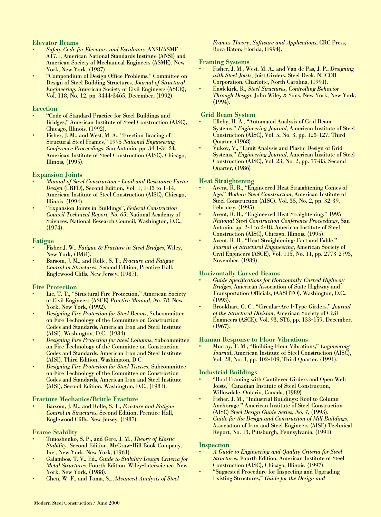# **Elevator Beams**

- **•** *Safety Code for Elevators and Escalators*, ANSI/ASME A17.1, American National Standards Institute (ANSI) and American Society of Mechanical Engineers (ASME), New York, New York, (1987).
- **•** "Compendium of Design Office Problems," Committee on Design of Steel Building Structures, *Journal of Structural Engineering*, American Society of Civil Engineers (ASCE), Vol. 118, No. 12, pp. 3444-3465, December, (1992).

# **Erection**

- **•** "Code of Standard Practice for Steel Buildings and Bridges," American Institute of Steel Construction (AISC), Chicago, Illinois, (1992).
- **•** Fisher, J. M., and West, M. A., "Erection Bracing of Structural Steel Frames," 1995 *National Engineering Conference Proceedings*, San Antonio, pp. 34.1-34.24, American Institute of Steel Construction (AISC), Chicago, Illinois, (1995).

# **Expansion Joints**

- **•** *Manual of Steel Construction Load and Resistance Factor Design* (LRFD), Second Edition, Vol. 1, 1-13 to 1-14, American Institute of Steel Construction (AISC), Chicago, Illinois, (1994).
- **•** "Expansion Joints in Buildings", *Federal Construction Council Technical Report, No. 65*, National Academy of Sciences, National Research Council, Washington, D.C., (1974).

# **Fatigue**

- **•** Fisher J. W., *Fatigue & Fracture in Steel Bridges*, Wiley, New York, (1984).
- **•** Barsom, J. M., and Rolfe, S. T., *Fracture and Fatigue Control in Structures*, Second Edition, Prentice Hall, Englewood Cliffs, New Jersey, (1987).

# **Fire Protection**

- **•** Lie, T. T., "Structural Fire Protection," American Society of Civil Engineers (ASCE) *Practice Manual, No. 78*, New York, New York, (1992).
- **•** *Designing Fire Protection for Steel Beams*, Subcommittee on Fire Technology of the Committee on Construction Codes and Standards, American Iron and Steel Institute (AISI), Washington, D.C., (1984).
- **•** *Designing Fire Protection for Steel Columns*, Subcommittee on Fire Technology of the Committee on Construction Codes and Standards, American Iron and Steel Institute (AISI), Third Edition, Washington, D.C.
- **•** *Designing Fire Protection for Steel Trusses*, Subcommittee on Fire Technology of the Committee on Construction Codes and Standards, American Iron and Steel Institute (AISI), Second Edition, Washington, D.C., (1981).

# **Fracture Mechanics/Brittle Fracture**

**•** Barsom, J. M., and Rolfe, S. T., *Fracture and Fatigue Control in Structures*, Second Edition, Prentice Hall, Englewood Cliffs, New Jersey, (1987).

# **Frame Stability**

- **•** Timoshenko, S. P., and Gere, J. M., *Theory of Elastic Stability*, Second Edition, McGraw-Hill Book Company, Inc., New York, New York, (1961).
- **•** Galambos, T. V., Ed., *Guide to Stability Design Criteria for Metal Structures*, Fourth Edition, Wiley-Interscience, New York, New York, (1988).
- **•** Chen, W. F., and Toma, S., *Advanced Analysis of Steel*

*Frames Theory, Software and Applications*, CRC Press, Boca Raton, Florida, (1994).

# **Framing Systems**

- **•** Fisher, J. M., West, M. A., and Van de Pas, J. P., *Designing with Steel Joists,* Joist Girders, Steel Deck, NUCOR Corporation, Charlotte, North Carolina, (1991).
- **•** Englekirk, R., *Steel Structures, Controlling Behavior Through Design*, John Wiley & Sons, New York, New York,  $(1994)$ .

# **Grid Beam System**

- **•** Elleby, H. A., "Automated Analysis of Grid Beam Systems." *Engineering Journal*, American Institute of Steel Construction (AISC), Vol. 5, No. 3, pp. 123-127, Third Quarter, (1968).
- **•** Vukov, V., "Limit Analysis and Plastic Design of Grid Systems," *Engineering Journal*, American Institute of Steel Construction (AISC), Vol. 23, No. 2, pp. 77-83, Second Quarter, (1986)

# **Heat Straightening**

- **•** Avent, R. R., "Engineered Heat Straightening Comes of Age," *Modern Steel Construction*, American Institute of Steel Construction (AISC), Vol. 35, No. 2, pp. 32-39, February, (1995).
- **•** Avent, R. R., "Engineered Heat Straightening," 1995 *National Steel Construction Conference Proceedings*, San Antonio, pp. 2-1 to 2-18, American Institute of Steel Construction (AISC), Chicago, Illinois, (1995).
- **•** Avent, R. R., "Heat Straightening: Fact and Fable," *Journal of Structural Engineering*, American Society of Civil Engineers (ASCE), Vol. 115, No. 11, pp. 2773-2793, November, (1989).

# **Horizontally Curved Beams**

- **•** *Guide Specifications for Horizontally Curved Highway Bridges*, American Association of State Highway and Transportation Officials, (AASHTO), Washington, D.C., (1993).
- **•** Brookhart, G. C., "Circular-Arc I-Type Girders," *Journal of the Structural Division*, American Society of Civil Engineers (ASCE), Vol. 93, ST6, pp. 133-159, December,  $(1967)$ .

# **Human Response to Floor Vibrations**

**•** Murray, T. M., "Building Floor Vibrations," *Engineering Journal*, American Institute of Steel Construction (AISC), Vol. 28, No. 3, pp. 102-109, Third Quarter, (1991).

# **Industrial Buildings**

- **•** "Roof Framing with Cantilever Girders and Open Web Joists," Canadian Institute of Steel Construction, Willowdale, Ontario, Canada, (1989).
- **•** Fisher, J. M., "Industrial Buildings: Roof to Column Anchorage," American Institute of Steel Construction (AISC) *Steel Design Guide Series, No. 7*, (1993).
- **•** *Guide for the Design and Construction of Mill Buildings*, Association of Iron and Steel Engineers (AISE) Technical Report, No. 13, Pittsburgh, Pennsylvania, (1991).

# **Inspection**

- **•** *A Guide to Engineering and Quality Criteria for Steel Structures*, Fourth Edition, American Institute of Steel Construction (AISC), Chicago, Illinois, (1997).
- **•** "Suggested Procedure for Inspecting and Upgrading Existing Structures," *Guide for the Design and*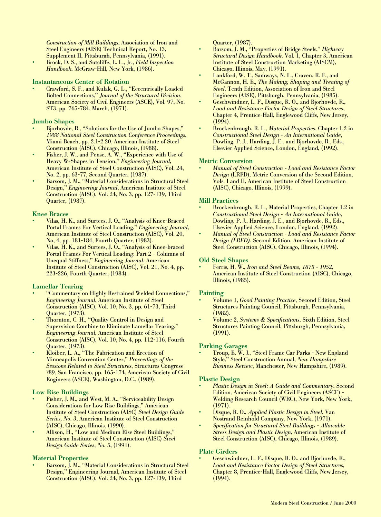*Construction of Mill Buildings*, Association of Iron and Steel Engineers (AISE) Technical Report, No. 13, Supplement II, Pittsburgh, Pennsylvania, (1991).

**•** Brock, D. S., and Sutcliffe, L. L., Jr., *Field Inspection Handbook*, McGraw-Hill, New York, (1986).

# **Instantaneous Center of Rotation**

**•** Crawford, S. F., and Kulak, G. L., "Eccentrically Loaded Bolted Connections," *Journal of the Structural Division*, American Society of Civil Engineers (ASCE), Vol. 97, No. ST3, pp. 765-784, March, (1971).

### **Jumbo Shapes**

- **•** Bjorhovde, R., "Solutions for the Use of Jumbo Shapes," *1988 National Steel Construction Conference Proceedings*, Miami Beach, pp. 2.1-2.20, American Institute of Steel Construction (AISC), Chicago, Illinois, (1988).
- **•** Fisher, J. W., and Pense, A. W., "Experience with Use of Heavy W-Shapes in Tension," *Engineering Journal*, American Institute of Steel Construction (AISC), Vol. 24, No. 2, pp. 63-77, Second Quarter, (1987).
- **•** Barsom, J. M., "Material Considerations in Structural Steel Design," *Engineering Journal*, American Institute of Steel Construction (AISC), Vol. 24, No. 3, pp. 127-139, Third Quarter, (1987).

# **Knee Braces**

- **•** Vilas, H. K., and Surtees, J. O., "Analysis of Knee-Braced Portal Frames For Vertical Loading," *Engineering Journal*, American Institute of Steel Construction (AISC), Vol. 20, No, 4, pp. 181-184, Fourth Quarter, (1983).
- **•** Vilas, H. K., and Surtees, J. O., "Analysis of Knee-braced Portal Frames For Vertical Loading: Part 2 - Columns of Unequal Stiffness," *Engineering Journal*, American Institute of Steel Construction (AISC), Vol. 21, No. 4, pp. 223-226, Fourth Quarter, (1984).

# **Lamellar Tearing**

- **•** "Commentary on Highly Restrained Welded Connections," *Engineering Journal*, American Institute of Steel Construction (AISC), Vol. 10, No. 3, pp. 61-73, Third Quarter, (1973).
- **•** Thornton, C. H., "Quality Control in Design and Supervision Combine to Eliminate Lamellar Tearing," *Engineering Journal*, American Institute of Steel Construction (AISC), Vol. 10, No. 4, pp. 112-116, Fourth Quarter, (1973).
- **•** Kloiber, L. A., "The Fabrication and Erection of Minneapolis Convention Center," *Proceedings of the Sessions Related to Steel Structures*, Structures Congress ?89, San Francisco, pp. 165-174, American Society of Civil Engineers (ASCE), Washington, D.C., (1989).

# **Low Rise Buildings**

- **•** Fisher, J. M., and West, M. A., "Serviceability Design Considerations for Low Rise Buildings," American Institute of Steel Construction (AISC) *Steel Design Guide Series, No. 3*, American Institute of Steel Construction (AISC), Chicago, Illinois, (1990).
- **•** Allison, H., "Low and Medium Rise Steel Buildings," American Institute of Steel Construction (AISC) *Steel Design Guide Series, No. 5*, (1991).

# **Material Properties**

**•** Barsom, J. M., "Material Considerations in Structural Steel Design," Engineering Journal, American Institute of Steel Construction (AISC), Vol. 24, No. 3, pp. 127-139, Third

Quarter, (1987).

- **•** Barsom, J. M., "Properties of Bridge Steels," *Highway Structural Design Handbook*, Vol. 1, Chapter 3, American Institute of Steel Construction Marketing (AISCM), Chicago, Illinois, May, (1991).
- **•** Lankford, W. T., Samways, N. L., Craven, R. F., and McGannon, H. E., *The Making, Shaping and Treating of Steel*, Tenth Edition, Association of Iron and Steel Engineers (AISE), Pittsburgh, Pennsylvania, (1985).
- **•** Geschwindner, L. F., Disque, R. O., and Bjorhovde, R., *Load and Resistance Factor Design of Steel Structures*, Chapter 4, Prentice-Hall, Englewood Cliffs, New Jersey, (1994).
- **•** Brockenbrough, R. L., *Material Properties*, Chapter 1.2 in *Constructional Steel Design - An International Guide*, Dowling, P. J., Harding, J. E., and Bjorhovde, R., Eds., Elsevier Applied Science, London, England, (1992).

#### **Metric Conversion**

**•** *Manual of Steel Construction - Load and Resistance Factor Design* (LRFD), Metric Conversion of the Second Edition, Vols. I and II, American Institute of Steel Construction (AISC), Chicago, Illinois, (1999).

#### **Mill Practices**

- **•** Brockenbrough, R. L., Material Properties, Chapter 1.2 in *Constructional Steel Design - An International Guide*, Dowling, P. J., Harding, J. E., and Bjorhovde, R., Eds., Elsevier Applied Science, London, England, (1992).
- **•** *Manual of Steel Construction Load and Resistance Factor Design (LRFD)*, Second Edition, American Institute of Steel Construction (AISC), Chicago, Illinois, (1994).

# **Old Steel Shapes**

**•** Ferris, H. W., *Iron and Steel Beams, 1873 - 1952*, American Institute of Steel Construction (AISC), Chicago, Illinois, (1985).

#### **Painting**

- **•** Volume 1, *Good Painting Practice*, Second Edition, Steel Structures Painting Council, Pittsburgh, Pennsylvania, (1982).
- **•** Volume 2, *Systems & Specifications*, Sixth Edition, Steel Structures Painting Council, Pittsburgh, Pennsylvania, (1991).

#### **Parking Garages**

**•** Troup, E. W. J., "Steel Frame Car Parks - New England Style," Steel Construction Annual, *New Hampshire Business Review*, Manchester, New Hampshire, (1989).

#### **Plastic Design**

- **•** *Plastic Design in Steel: A Guide and Commentary*, Second Edition, American Society of Civil Engineers (ASCE) - Welding Research Council (WRC), New York, New York, (1971).
- **•** Disque, R. O., *Applied Plastic Design in Steel*, Van Nostrand Reinhold Company, New York, (1971).
- **•** *Specification for Structural Steel Buildings Allowable Stress Design and Plastic Design*, American Institute of Steel Construction (AISC), Chicago, Illinois, (1989).

#### **Plate Girders**

**•** Geschwindner, L. F., Disque, R. O., and Bjorhovde, R., *Load and Resistance Factor Design of Steel Structures,* Chapter 8, Prentice-Hall, Englewood Cliffs, New Jersey, (1994).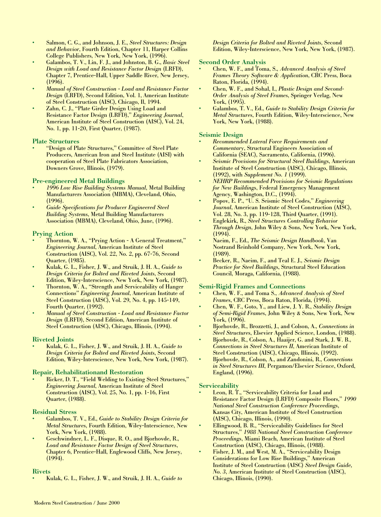- **•** Salmon, C. G., and Johnson, J. E., *Steel Structures: Design and Behavior*, Fourth Edition, Chapter 11, Harper Collins College Publishers, New York, New York, (1996).
- **•** Galambos, T. V., Lin, F. J., and Johnston, B. G., *Basic Steel Design with Load and Resistance Factor Design* (LRFD), Chapter 7, Prentice-Hall, Upper Saddle River, New Jersey, (1996).
- **•** *Manual of Steel Construction Load and Resistance Factor Design* (LRFD), Second Edition, Vol. 1, American Institute of Steel Construction (AISC), Chicago, Il, 1994.
- **•** Zahn, C. J., "Plate Girder Design Using Load and Resistance Factor Design (LRFD)," *Engineering Journal*, American Institute of Steel Construction (AISC), Vol. 24, No. 1, pp. 11-20, First Quarter, (1987).

# **Plate Structures**

**•** "Design of Plate Structures," Committee of Steel Plate Producers, American Iron and Steel Institute (AISI) with cooperation of Steel Plate Fabricators Association, Downers Grove, Illinois, (1979).

# **Pre-engineered Metal Buildings**

- **•** *1996 Low Rise Building Systems Manual*, Metal Building Manufacturers Association (MBMA), Cleveland, Ohio, (1996).
- **•** *Guide Specifications for Producer Engineered Steel Building Systems*, Metal Building Manufacturers Association (MBMA), Cleveland, Ohio, June, (1996).

# **Prying Action**

- **•** Thornton, W. A., "Prying Action A General Treatment," *Engineering Journal*, American Institute of Steel Construction (AISC), Vol. 22, No. 2, pp. 67-76, Second Quarter, (1985).
- **•** Kulak, G. L., Fisher, J. W., and Struik, J. H. A., *Guide to Design Criteria for Bolted and Riveted Joints*, Second Edition, Wiley-Interscience, New York, New York, (1987).
- **•** Thornton, W. A., "Strength and Serviceability of Hanger Connections" *Engineering Journal*, American Institute of Steel Construction (AISC), Vol. 29, No. 4, pp. 145-149, Fourth Quarter, (1992).
- **•** *Manual of Steel Construction Load and Resistance Factor Design* (LRFD), Second Edition, American Institute of Steel Construction (AISC), Chicago, Illinois, (1994).

# **Riveted Joints**

**•** Kulak, G. L., Fisher, J. W., and Struik, J. H. A., *Guide to Design Criteria for Bolted and Riveted Joints*, Second Edition, Wiley-Interscience, New York, New York, (1987).

# **Repair, Rehabilitationand Restoration**

**•** Ricker, D. T., "Field Welding to Existing Steel Structures," *Engineering Journal*, American Institute of Steel Construction (AISC), Vol. 25, No. 1, pp. 1-16, First Quarter, (1988).

# **Residual Stress**

- **•** Galambos, T. V., Ed., *Guide to Stability Design Criteria for Metal Structures*, Fourth Edition, Wiley-Interscience, New York, New York, (1988).
- **•** Geschwindner, L. F., Disque, R. O., and Bjorhovde, R., *Load and Resistance Factor Design of Steel Structures*, Chapter 6, Prentice-Hall, Englewood Cliffs, New Jersey, (1994).

# **Rivets**

**•** Kulak, G. L., Fisher, J. W., and Struik, J. H. A., *Guide to*

*Design Criteria for Bolted and Riveted Joints*, Second Edition, Wiley-Interscience, New York, New York, (1987).

#### **Second Order Analysis**

- **•** Chen, W. F., and Toma, S., *Advanced Analysis of Steel Frames Theory Software & Application*, CRC Press, Boca Raton, Florida, (1994).
- **•** Chen, W. F., and Sohal, I., *Plastic Design and Second-Order Analysis of Steel Frames*, Springer Verlag, New York, (1995).
- **•** Galambos, T. V., Ed., *Guide to Stability Design Criteria for Metal Structures*, Fourth Edition, Wiley-Interscience, New York, New York, (1988).

# **Seismic Design**

- **•** *Recommended Lateral Force Requirements and Commentary*, Structural Engineers Association of California (SEAC), Sacramento, California, (1996).
- **•** *Seismic Provisions for Structural Steel Buildings*, American Institute of Steel Construction (AISC), Chicago, Illinois, (1992), with *Supplement No. 1* (1999).
- **•** *NEHRP Recommended Provisions for Seismic Regulations for New Buildings*, Federal Emergency Management Agency, Washington, D.C., (1994).
- **•** Popov, E. P., "U. S. Seismic Steel Codes," *Engineering Journal*, American Institute of Steel Construction (AISC), Vol. 28, No. 3, pp. 119-128, Third Quarter, (1991).
- **•** Englekirk, R., *Steel Structures Controlling Behavior Through Design*, John Wiley & Sons, New York, New York, (1994).
- **•** Naeim, F., Ed., *The Seismic Design Handbook*, Van Nostrand Reinhold Company, New York, New York, (1989).
- **•** Becker, R., Naeim, F., and Teal E. J., *Seismic Design Practice for Steel Buildings*, Structural Steel Education Council, Moraga, California, (1988).

# **Semi-Rigid Frames and Connections**

- **•** Chen, W. F., and Toma S., *Advanced Analysis of Steel Frames*, CRC Press, Boca Raton, Florida, (1994).
- **•** Chen, W. F., Goto, Y., and Liew, J. Y. R., *Stability Design of Semi-Rigid Frames*, John Wiley & Sons, New York, New York, (1996).
- **•** Bjorhovde, R., Brozzetti, J., and Colson, A., *Connections in Steel Structures*, Elsevier Applied Science, London, (1988).
- **•** Bjorhovde, R., Colson, A., Haaijer, G. and Stark, J. W. B., *Connections in Steel Structures II*, American Institute of Steel Construction (AISC), Chicago, Illinois, (1992).
- **•** Bjorhovde, R., Colson, A., and Zandonini, R., *Connections in Steel Structures III*, Pergamon/Elsevier Science, Oxford, England, (1996).

# **Serviceability**

- Leon, R. T., "Serviceability Criteria for Load and Resistance Factor Design (LRFD) Composite Floors," *1990 National Steel Construction Conference Proceedings*, Kansas City, American Institute of Steel Construction (AISC), Chicago, Illinois, (1990).
- **•** Ellingwood, B. R., "Serviceability Guidelines for Steel Structures," *1988 National Steel Construction Conference Proceedings*, Miami Beach, American Institute of Steel Construction (AISC), Chicago, Illinois, (1988).
- **•** Fisher, J. M., and West, M. A., "Serviceability Design Considerations for Low Rise Buildings," American Institute of Steel Construction (AISC) *Steel Design Guide, No. 3*, American Institute of Steel Construction (AISC), Chicago, Illinois, (1990).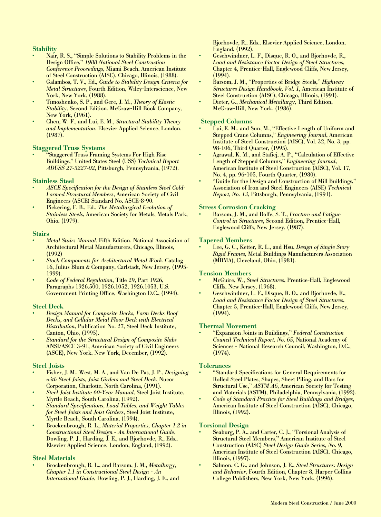# **Stability**

- **•** Nair, R. S., "Simple Solutions to Stability Problems in the Design Office," *1988 National Steel Construction Conference Proceedings*, Miami Beach, American Institute of Steel Construction (AISC), Chicago, Illinois, (1988).
- **•** Galambos, T. V., Ed., *Guide to Stability Design Criteria for Metal Structures*, Fourth Edition, Wiley-Interscience, New York, New York, (1988).
- **•** Timoshenko, S. P., and Gere, J. M., *Theory of Elastic Stability*, Second Edition, McGraw-Hill Book Company, New York, (1961).
- **•** Chen, W. F., and Lui, E. M., *Structural Stability Theory and Implementation*, Elsevier Applied Science, London, (1987).

# **Staggered Truss Systems**

**•** "Staggered Truss Framing Systems For High Rise Buildings," United States Steel (USS) *Technical Report ADUSS 27-5227-02*, Pittsburgh, Pennsylvania, (1972).

# **Stainless Steel**

- **•** *ASCE Specification for the Design of Stainless Steel Cold-Formed Structural Members*, American Society of Civil Engineers (ASCE) Standard No. ASCE-8-90.
- **•** Pickering, F. B., Ed., *The Metallurgical Evolution of Stainless Steels*, American Society for Metals, Metals Park, Ohio, (1979).

#### **Stairs**

- **•** *Metal Stairs Manual*, Fifth Edition, National Association of Architectural Metal Manufacturers, Chicago, Illinois, (1992)
- **•** *Stock Components for Architectural Metal Work*, Catalog 16, Julius Blum & Company, Carlstadt, New Jersey, (1995- 1999).
- **•** *Code of Federal Regulation*, Title 29, Part 1926, Paragraphs 1926.500, 1926.1052, 1926.1053, U.S. Government Printing Office, Washington D.C., (1994).

# **Steel Deck**

- **•** *Design Manual for Composite Decks, Form Decks Roof Decks, and Cellular Metal Floor Deck with Electrical Distribution*, Publication No. 27, Steel Deck Institute, Canton, Ohio, (1995).
- **•** *Standard for the Structural Design of Composite Slabs* ANSI/ASCE 3-91, American Society of Civil Engineers (ASCE), New York, New York, December, (1992).

# **Steel Joists**

- **•** Fisher, J. M., West, M. A., and Van De Pas, J. P., *Designing with Steel Joists, Joist Girders and Steel Deck*, Nucor Corporation, Charlotte, North Carolina, (1991).
- **•** *Steel Joist Institute 60-Year Manual*, Steel Joist Institute, Myrtle Beach, South Carolina, (1992).
- **•** *Standard Specifications, Load Tables, and Weight Tables for Steel Joists and Joist Girders*, Steel Joist Institute, Myrtle Beach, South Carolina, (1994).
- **•** Brockenbrough, R. L., *Material Properties, Chapter 1.2 in Constructional Steel Design - An International Guide*, Dowling, P. J., Harding, J. E., and Bjorhovde, R., Eds., Elsevier Applied Science, London, England, (1992).

# **Steel Materials**

**•** Brockenbrough, R. L., and Barsom, J. M., *Metallurgy, Chapter 1.1 in Constructional Steel Design - An International Guide*, Dowling, P. J., Harding, J. E., and Bjorhovde, R., Eds., Elsevier Applied Science, London, England, (1992).

- **•** Geschwindner, L. F., Disque, R. O., and Bjorhovde, R., *Load and Resistance Factor Design of Steel Structures,* Chapter 4, Prentice-Hall, Englewood Cliffs, New Jersey,  $(1994)$ .
- **•** Barsom, J. M., "Properties of Bridge Steels," *Highway Structures Design Handbook, Vol. 1*, American Institute of Steel Construction (AISC), Chicago, Illinois, (1991).
- **•** Dieter, G., *Mechanical Metallurgy,* Third Edition, McGraw-Hill, New York, (1986).

# **Stepped Columns**

- **•** Lui, E. M., and Sun, M., "Effective Length of Uniform and Stepped Crane Columns," *Engineering Journal*, American Institute of Steel Construction (AISC), Vol. 32, No. 3, pp. 98-106, Third Quarter, (1995).
- **•** Agrawal, K. M., and Stafiej, A. P., "Calculation of Effective Length of Stepped Columns," *Engineering Journal*, American Institute of Steel Construction (AISC), Vol. 17, No. 4, pp. 96-105, Fourth Quarter, (1980).
- **•** "Guide for the Design and Construction of Mill Buildings," Association of Iron and Steel Engineers (AISE) *Technical Report, No. 13*, Pittsburgh, Pennsylvania, (1991).

# **Stress Corrosion Cracking**

**•** Barsom, J. M., and Rolfe, S. T., *Fracture and Fatigue Control in Structures*, Second Edition, Prentice-Hall, Englewood Cliffs, New Jersey, (1987).

# **Tapered Members**

**•** Lee, G. C., Ketter, R. L., and Hsu, *Design of Single Story Rigid Frames,* Metal Buildings Manufacturers Association (MBMA), Cleveland, Ohio, (1981).

# **Tension Members**

- **•** McGuire, W., *Steel Structures*, Prentice-Hall, Englewood Cliffs, New Jersey, (1968).
- **•** Geschwindner, L. F., Disque, R. O., and Bjorhovde, R., *Load and Resistance Factor Design of Steel Structures*, Chapter 5, Prentice-Hall, Englewood Cliffs, New Jersey,  $(1994)$ .

# **Thermal Movement**

**•** "Expansion Joints in Buildings," *Federal Construction Council Technical Report, No. 65*, National Academy of Sciences - National Research Council, Washington, D.C., (1974).

# **Tolerances**

- **•** "Standard Specifications for General Requirements for Rolled Steel Plates, Shapes, Sheet Piling, and Bars for Structural Use," *ASTM A6*, American Society for Testing and Materials (ASTM), Philadelphia, Pennsylvania, (1992).
- **•** *Code of Standard Practice for Steel Buildings and Bridges*, American Institute of Steel Construction (AISC), Chicago, Illinois, (1992).

# **Torsional Design**

- **•** Seaburg, P. A., and Carter, C. J., "Torsional Analysis of Structural Steel Members," American Institute of Steel Construction (AISC) *Steel Design Guide Series, No. 9*, American Institute of Steel Construction (AISC), Chicago, Illinois, (1997).
- **•** Salmon, C. G., and Johnson, J. E., *Steel Structures: Design and Behavior*, Fourth Edition, Chapter 8, Harper Collins College Publishers, New York, New York, (1996).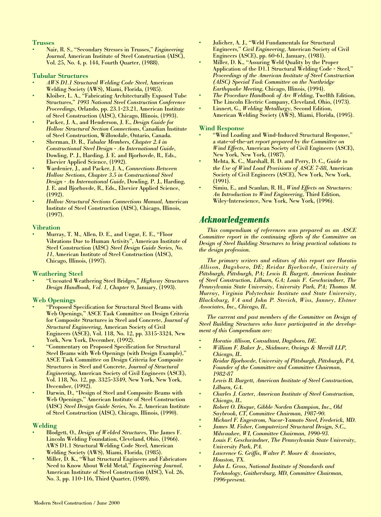# **Trusses**

**•** Nair, R. S., "Secondary Stresses in Trusses," *Engineering Journal*, American Institute of Steel Construction (AISC), Vol. 25, No. 4, p. 144, Fourth Quarter, (1988).

#### **Tubular Structures**

- **•** *AWS D1.1 Structural Welding Code Steel*, American Welding Society (AWS), Miami, Florida, (1985).
- **•** Kloiber, L. A., "Fabricating Architecturally Exposed Tube Structures," *1993 National Steel Construction Conference Proceedings*, Orlando, pp. 23.1-23.21, American Institute of Steel Construction (AISC), Chicago, Illinois, (1993).
- **•** Packer, J. A., and Henderson, J. E., *Design Guide for Hollow Structural Section Connections*, Canadian Institute of Steel Construction, Willowdale, Ontario, Canada.
- **•** Sherman, D. R., *Tubular Members, Chapter 2.4 in Constructional Steel Design - An International Guide*, Dowling, P. J., Harding, J. E. and Bjorhovde, R., Eds., Elsevier Applied Science, (1992).
- **•** Wardenier, J., and Packer, J. A., *Connections Between Hollow Sections, Chapter 3.5 in Constructional Steel Design - An International Guide*, Dowling, P. J., Harding, J. E. and Bjorhovde, R., Eds., Elsevier Applied Science, (1992).
- **•** *Hollow Structural Sections Connections Manual*, American Institute of Steel Construction (AISC), Chicago, Illinois, (1997).

#### **Vibration**

**•** Murray, T. M., Allen, D. E., and Ungar, E. E., "Floor Vibrations Due to Human Activity", American Institute of Steel Construction (AISC) *Steel Design Guide Series, No. 11*, American Institute of Steel Construction (AISC), Chicago, Illinois, (1997).

# **Weathering Steel**

**•** "Uncoated Weathering Steel Bridges," *Highway Structures Design Handbook, Vol. 1, Chapter 9*, January, (1993).

# **Web Openings**

- **•** "Proposed Specification for Structural Steel Beams with Web Openings," ASCE Task Committee on Design Criteria for Composite Structures in Steel and Concrete, *Journal of Structural Engineering*, American Society of Civil Engineers (ASCE), Vol. 118, No. 12, pp. 3315-3324, New York, New York, December, (1992).
- **•** "Commentary on Proposed Specification for Structural Steel Beams with Web Openings (with Design Example)," ASCE Task Committee on Design Criteria for Composite Structures in Steel and Concrete, *Journal of Structural Engineering*, American Society of Civil Engineers (ASCE), Vol. 118, No. 12, pp. 3325-3349, New York, New York, December, (1992).
- **•** Darwin, D., "Design of Steel and Composite Beams with Web Openings," American Institute of Steel Construction (AISC) *Steel Design Guide Series, No. 2*, American Institute of Steel Construction (AISC), Chicago, Illinois, (1990).

# **Welding**

- **•** Blodgett, O., *Design of Welded Structures*, The James F. Lincoln Welding Foundation, Cleveland, Ohio, (1966). AWS D1.1 Structural Welding Code Steel, American Welding Society (AWS), Miami, Florida, (1985).
- **•** Miller, D. K., "What Structural Engineers and Fabricators Need to Know About Weld Metal," *Engineering Journal*, American Institute of Steel Construction (AISC), Vol. 26, No. 3, pp. 110-116, Third Quarter, (1989).
- **•** Julicher, A. J., "Weld Fundamentals for Structural Engineers," *Civil Engineering*, American Society of Civil Engineers (ASCE), pp. 60-61, January, (1981).
- **•** Miller, D. K., "Assuring Weld Quality by the Proper Application of the D1.1 Structural Welding Code - Steel," *Proceedings of the American Institute of Steel Construction (AISC) Special Task Committee on the Northridge Earthquake Meeting*, Chicago, Illinois, (1994).
- **•** *The Procedure Handbook of Arc Welding*, Twelfth Edition, The Lincoln Electric Company, Cleveland, Ohio, (1973).
- **•** Linnert, G., *Welding Metallurgy*, Second Edition, American Welding Society (AWS), Miami, Florida, (1995).

#### **Wind Response**

- **•** "Wind Loading and Wind-Induced Structural Response," a state-of-the-art *report prepared by the Committee on Wind Effects,* American Society of Civil Engineers (ASCE), New York, New York, (1987).
- **•** Mehta, K. C., Marshall, R. D. and Perry, D. C., *Guide to the Use of Wind Load Provisions of ASCE 7-88*, American Society of Civil Engineers (ASCE), New York, New York, (1991).
- **•** Simiu, E., and Scanlan, R. H., *Wind Effects on Structures: An Introduction to Wind Engineering*, Third Edition, Wiley-Interscience, New York, New York, (1996).

# *Acknowledgements*

*This compendium of references was prepared as an ASCE Committee report in the continuing efforts of the Committee on Design of Steel Building Structures to bring practical solutions to the design profession.*

*The primary writers and editors of this report are Horatio Allison, Dagsboro, DE; Reidar Bjorhovde, University of Pittsburgh, Pittsburgh, PA; Lewis B. Burgett, American Institute of Steel Construction, Lilburn, GA; Louis F. Geschwindner, The Pennsylvania State University, University Park, PA; Thomas M. Murray, Virginia Polytechnic Institute and State University, Blacksburg, VA and John P. Stecich, Wiss, Janney, Elstner Associates, Inc., Chicago, IL.* 

*The current and past members of the Committee on Design of Steel Building Structures who have participated in the development of this Compendium are:*

- *• Horatio Allison, Consultant, Dagsboro, DE.*
- *• William F. Baker Jr., Skidmore, Owings & Merrill LLP, Chicago, IL.*
- *• Reidar Bjorhovde, University of Pittsburgh, Pittsburgh, PA, Founder of the Committee and Committee Chairman, 1982-87*
- *• Lewis B. Burgett, American Institute of Steel Construction, Lilburn, GA.*
- *• Charles J. Carter, American Institute of Steel Construction, Chicago, IL.*
- *• Robert O. Disque, Gibble Norden Champion, Inc., Old Saybrook, CT, Committee Chairman, 1987-90.*
- *• Michael F. Engestrom, Nucor-Yamato Steel, Frederick, MD.*
- *• James M. Fisher, Computerized Structural Design, S.C., Milwaukee, WI, Committee Chairman, 1990-93.*
- *• Louis F. Geschwindner, The Pennsylvania State University, University Park, PA.*
- *• Lawrence G. Griffis, Walter P. Moore & Associates, Houston, TX.*
- *• John L. Gross, National Institute of Standards and Technology, Gaithersburg, MD, Committee Chairman, 1996-present.*